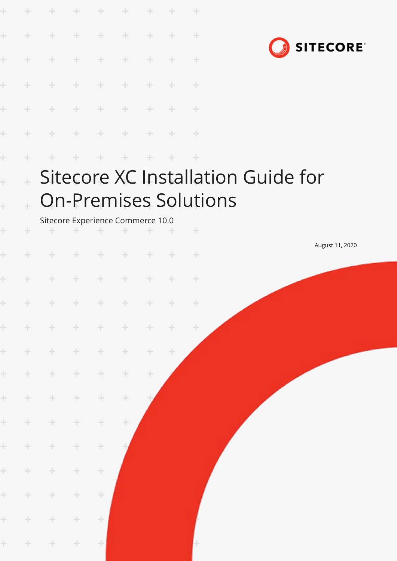|           |        |                                         |          | ÷                                                                                                                                                                                                                                                                                                                                                                                                                                               |               |     |        | ÷             |                                    |
|-----------|--------|-----------------------------------------|----------|-------------------------------------------------------------------------------------------------------------------------------------------------------------------------------------------------------------------------------------------------------------------------------------------------------------------------------------------------------------------------------------------------------------------------------------------------|---------------|-----|--------|---------------|------------------------------------|
| ÷         | ÷      | ÷                                       | ÷        | $\frac{1}{2} \left  \mathbf{r} \right  \leq \frac{1}{2} \left  \mathbf{r} \right  \leq \frac{1}{2} \left  \mathbf{r} \right  \leq \frac{1}{2} \left  \mathbf{r} \right  \leq \frac{1}{2} \left  \mathbf{r} \right  \leq \frac{1}{2} \left  \mathbf{r} \right  \leq \frac{1}{2} \left  \mathbf{r} \right  \leq \frac{1}{2} \left  \mathbf{r} \right  \leq \frac{1}{2} \left  \mathbf{r} \right  \leq \frac{1}{2} \left  \mathbf{r} \right  \leq$ | $\frac{1}{2}$ | ÷   | ÷      | $\rightarrow$ | <b>SITECORE</b>                    |
| Ł         | ÷.     | ÷                                       | ÷        | ÷                                                                                                                                                                                                                                                                                                                                                                                                                                               | ÷             | ÷   | ÷      | ÷             |                                    |
| Ł         | $+$    | $+$                                     | $\oplus$ | $+$                                                                                                                                                                                                                                                                                                                                                                                                                                             | $+$           | $+$ | ÷      | $+$           |                                    |
| ÷         | ÷.     | $+$                                     | $\div$   | $+$                                                                                                                                                                                                                                                                                                                                                                                                                                             | $+$           | $+$ | $\div$ | $+$           |                                    |
| ł         | ÷.     | ÷                                       | ÷        | $+$                                                                                                                                                                                                                                                                                                                                                                                                                                             | $+$           | ÷   | $+$    | $\pm$         |                                    |
| ŀ         | ÷      | ÷                                       | ÷        | ÷                                                                                                                                                                                                                                                                                                                                                                                                                                               | $+$           | ÷   | ÷      | $+$           |                                    |
| $\ddot{}$ |        |                                         |          |                                                                                                                                                                                                                                                                                                                                                                                                                                                 |               |     |        |               | Sitecore XC Installation Guide for |
| $\ddot{}$ |        |                                         |          |                                                                                                                                                                                                                                                                                                                                                                                                                                                 |               |     |        |               | <b>On-Premises Solutions</b>       |
| ÷         | ÷      | Sitecore Experience Commerce 10.0<br>÷. |          |                                                                                                                                                                                                                                                                                                                                                                                                                                                 | ÷             | ÷   | ÷      | $+$           |                                    |
| Ł         | ÷.     | ÷.                                      | ÷        | $+$                                                                                                                                                                                                                                                                                                                                                                                                                                             | $+$           | $+$ | $+$    | $+$           | August 11, 2020                    |
| Ł         | ÷      | $+$                                     | $+$      | ÷                                                                                                                                                                                                                                                                                                                                                                                                                                               | $+$           | ÷   | ÷      | $\pm$         |                                    |
|           | ÷.     | ÷                                       | ÷        | $+$                                                                                                                                                                                                                                                                                                                                                                                                                                             | ÷             | $+$ | ÷      | $+$           |                                    |
| $\pm$     | $+$    | $+$                                     | ÷        | $+$                                                                                                                                                                                                                                                                                                                                                                                                                                             | $\pm$         | ÷   | ÷      | ÷             |                                    |
| $\pm$     | $+$    | ÷.                                      | ÷        | ÷                                                                                                                                                                                                                                                                                                                                                                                                                                               | ÷             | ÷.  | ÷      |               |                                    |
| $\pm$     | $+ \,$ | $\pm$                                   | ÷        | ÷                                                                                                                                                                                                                                                                                                                                                                                                                                               | ÷             | ÷   |        |               |                                    |
| $\pm$     | $\pm$  | $\div$                                  | $\pm$    | $\div$                                                                                                                                                                                                                                                                                                                                                                                                                                          | ÷             |     |        |               |                                    |
| $\pm$     | $\pm$  | $\div$                                  | $\div$   | ÷                                                                                                                                                                                                                                                                                                                                                                                                                                               | ÷             |     |        |               |                                    |
| $\pm$     | $\pm$  | $\div$                                  | $\div$   | $\pm$                                                                                                                                                                                                                                                                                                                                                                                                                                           |               |     |        |               |                                    |
| $\pm$     | $+$    | $\div$                                  | $\div$   | $\pm$                                                                                                                                                                                                                                                                                                                                                                                                                                           |               |     |        |               |                                    |
| $\pm$     | ÷.     | $\pm$                                   | $\pm$    | ÷                                                                                                                                                                                                                                                                                                                                                                                                                                               |               |     |        |               |                                    |
| ÷         | ÷.     | ÷                                       | $\div$   | ÷                                                                                                                                                                                                                                                                                                                                                                                                                                               |               |     |        |               |                                    |
| ÷.        | ÷      | ÷                                       | $\!+\!$  | ÷                                                                                                                                                                                                                                                                                                                                                                                                                                               |               |     |        |               |                                    |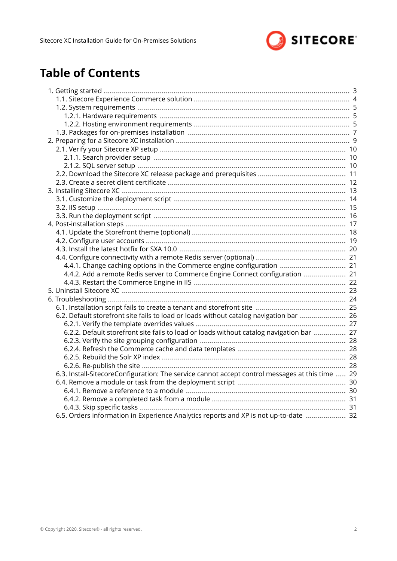

# **Table of Contents**

| 4.4.1. Change caching options in the Commerce engine configuration  21                          |  |
|-------------------------------------------------------------------------------------------------|--|
| 4.4.2. Add a remote Redis server to Commerce Engine Connect configuration  21                   |  |
|                                                                                                 |  |
|                                                                                                 |  |
|                                                                                                 |  |
|                                                                                                 |  |
| 6.2. Default storefront site fails to load or loads without catalog navigation bar  26          |  |
|                                                                                                 |  |
| 6.2.2. Default storefront site fails to load or loads without catalog navigation bar  27        |  |
|                                                                                                 |  |
|                                                                                                 |  |
|                                                                                                 |  |
|                                                                                                 |  |
| 6.3. Install-SitecoreConfiguration: The service cannot accept control messages at this time  29 |  |
|                                                                                                 |  |
|                                                                                                 |  |
|                                                                                                 |  |
|                                                                                                 |  |
| 6.5. Orders information in Experience Analytics reports and XP is not up-to-date  32            |  |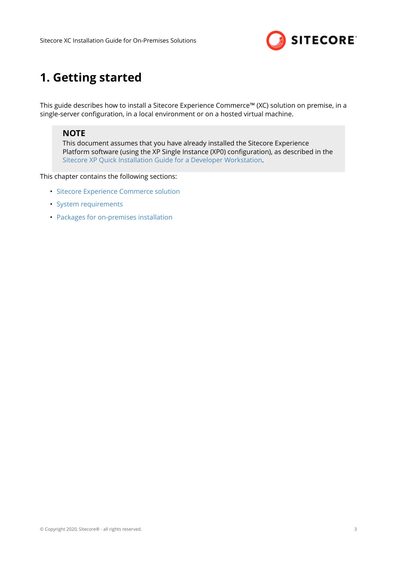

# <span id="page-2-0"></span>**1. Getting started**

This guide describes how to install a Sitecore Experience Commerce™ (XC) solution on premise, in a single-server configuration, in a local environment or on a hosted virtual machine.

### **NOTE**

This document assumes that you have already installed the Sitecore Experience Platform software (using the XP Single Instance (XP0) configuration), as described in the [Sitecore XP Quick Installation Guide for a Developer Workstation](https://dev.sitecore.net/Downloads/Sitecore_Experience_Platform/100/Sitecore_Experience_Platform_100.aspx).

This chapter contains the following sections:

- [Sitecore Experience Commerce solution](#page-3-0)
- [System requirements](#page-4-0)
- [Packages for on-premises installation](#page-6-0)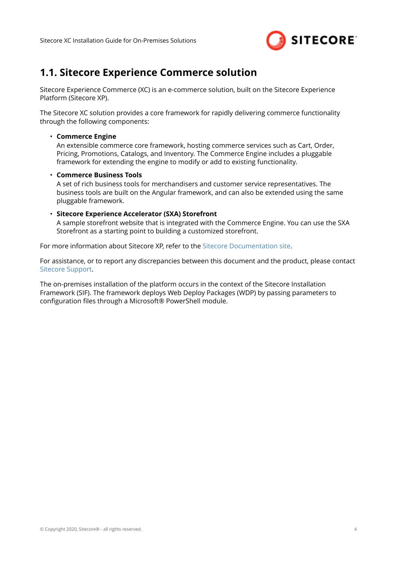

### <span id="page-3-0"></span>**1.1. Sitecore Experience Commerce solution**

Sitecore Experience Commerce (XC) is an e-commerce solution, built on the Sitecore Experience Platform (Sitecore XP).

The Sitecore XC solution provides a core framework for rapidly delivering commerce functionality through the following components:

#### • **Commerce Engine**

An extensible commerce core framework, hosting commerce services such as Cart, Order, Pricing, Promotions, Catalogs, and Inventory. The Commerce Engine includes a pluggable framework for extending the engine to modify or add to existing functionality.

#### • **Commerce Business Tools**

A set of rich business tools for merchandisers and customer service representatives. The business tools are built on the Angular framework, and can also be extended using the same pluggable framework.

#### • **Sitecore Experience Accelerator (SXA) Storefront**

A sample storefront website that is integrated with the Commerce Engine. You can use the SXA Storefront as a starting point to building a customized storefront.

For more information about Sitecore XP, refer to the [Sitecore Documentation site.](https://doc.sitecore.com/)

For assistance, or to report any discrepancies between this document and the product, please contact [Sitecore Support.](https://support.sitecore.com/csm)

The on-premises installation of the platform occurs in the context of the Sitecore Installation Framework (SIF). The framework deploys Web Deploy Packages (WDP) by passing parameters to configuration files through a Microsoft® PowerShell module.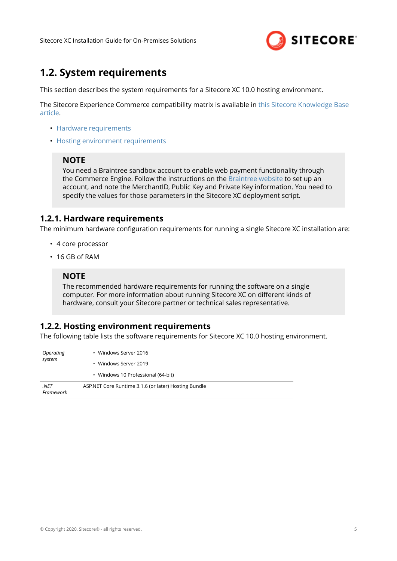

### <span id="page-4-0"></span>**1.2. System requirements**

This section describes the system requirements for a Sitecore XC 10.0 hosting environment.

The Sitecore Experience Commerce compatibility matrix is available in [this Sitecore Knowledge Base](https://kb.sitecore.net/articles/804595) [article.](https://kb.sitecore.net/articles/804595)

- Hardware requirements
- Hosting environment requirements

### **NOTE**

You need a Braintree sandbox account to enable web payment functionality through the Commerce Engine. Follow the instructions on the [Braintree website](https://www.braintreepayments.com/ca/sandbox) to set up an account, and note the MerchantID, Public Key and Private Key information. You need to specify the values for those parameters in the Sitecore XC deployment script.

### **1.2.1. Hardware requirements**

The minimum hardware configuration requirements for running a single Sitecore XC installation are:

- 4 core processor
- 16 GB of RAM

### **NOTE**

The recommended hardware requirements for running the software on a single computer. For more information about running Sitecore XC on different kinds of hardware, consult your Sitecore partner or technical sales representative.

### **1.2.2. Hosting environment requirements**

The following table lists the software requirements for Sitecore XC 10.0 hosting environment.

| Operating         | • Windows Server 2016                                |  |  |  |  |  |
|-------------------|------------------------------------------------------|--|--|--|--|--|
| system            | • Windows Server 2019                                |  |  |  |  |  |
|                   | • Windows 10 Professional (64-bit)                   |  |  |  |  |  |
| .NET<br>Framework | ASP.NET Core Runtime 3.1.6 (or later) Hosting Bundle |  |  |  |  |  |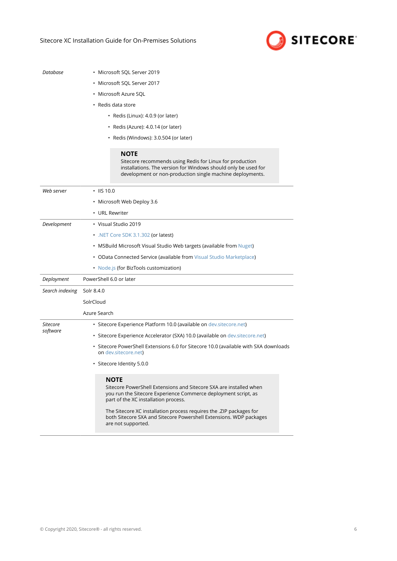

*Database* • Microsoft SQL Server 2019

- Microsoft SQL Server 2017
- Microsoft Azure SQL
- Redis data store
	- Redis (Linux): 4.0.9 (or later)
	- Redis (Azure): 4.0.14 (or later)
	- Redis (Windows): 3.0.504 (or later)

#### **NOTE**

Sitecore recommends using Redis for Linux for production installations. The version for Windows should only be used for development or non-production single machine deployments.

| Web server      | $\cdot$ IIS 10.0                                                                                                                                                                                                                                                                                                                                                |  |  |  |  |  |  |
|-----------------|-----------------------------------------------------------------------------------------------------------------------------------------------------------------------------------------------------------------------------------------------------------------------------------------------------------------------------------------------------------------|--|--|--|--|--|--|
|                 | • Microsoft Web Deploy 3.6                                                                                                                                                                                                                                                                                                                                      |  |  |  |  |  |  |
|                 | • URL Rewriter                                                                                                                                                                                                                                                                                                                                                  |  |  |  |  |  |  |
| Development     | • Visual Studio 2019                                                                                                                                                                                                                                                                                                                                            |  |  |  |  |  |  |
|                 | . NET Core SDK 3.1.302 (or latest)<br>• MSBuild Microsoft Visual Studio Web targets (available from Nuget)                                                                                                                                                                                                                                                      |  |  |  |  |  |  |
|                 |                                                                                                                                                                                                                                                                                                                                                                 |  |  |  |  |  |  |
|                 | • OData Connected Service (available from Visual Studio Marketplace)                                                                                                                                                                                                                                                                                            |  |  |  |  |  |  |
|                 | • Node.js (for BizTools customization)                                                                                                                                                                                                                                                                                                                          |  |  |  |  |  |  |
| Deployment      | PowerShell 6.0 or later                                                                                                                                                                                                                                                                                                                                         |  |  |  |  |  |  |
| Search indexing | Solr 8.4.0                                                                                                                                                                                                                                                                                                                                                      |  |  |  |  |  |  |
|                 | SolrCloud                                                                                                                                                                                                                                                                                                                                                       |  |  |  |  |  |  |
|                 | Azure Search                                                                                                                                                                                                                                                                                                                                                    |  |  |  |  |  |  |
| Sitecore        | · Sitecore Experience Platform 10.0 (available on dev. sitecore.net)                                                                                                                                                                                                                                                                                            |  |  |  |  |  |  |
| software        | · Sitecore Experience Accelerator (SXA) 10.0 (available on dev.sitecore.net)                                                                                                                                                                                                                                                                                    |  |  |  |  |  |  |
|                 | · Sitecore PowerShell Extensions 6.0 for Sitecore 10.0 (available with SXA downloads<br>on dev.sitecore.net)                                                                                                                                                                                                                                                    |  |  |  |  |  |  |
|                 | · Sitecore Identity 5.0.0                                                                                                                                                                                                                                                                                                                                       |  |  |  |  |  |  |
|                 | <b>NOTE</b><br>Sitecore PowerShell Extensions and Sitecore SXA are installed when<br>you run the Sitecore Experience Commerce deployment script, as<br>part of the XC installation process.<br>The Sitecore XC installation process requires the . ZIP packages for<br>both Sitecore SXA and Sitecore Powershell Extensions. WDP packages<br>are not supported. |  |  |  |  |  |  |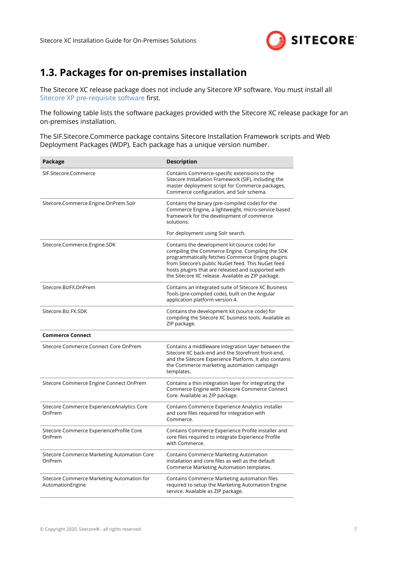

### <span id="page-6-0"></span>**1.3. Packages for on-premises installation**

The Sitecore XC release package does not include any Sitecore XP software. You must install all [Sitecore XP pre-requisite software](#page-9-0) first.

The following table lists the software packages provided with the Sitecore XC release package for an on-premises installation.

The SIF.Sitecore.Commerce package contains Sitecore Installation Framework scripts and Web Deployment Packages (WDP). Each package has a unique version number.

| Package                                                        | <b>Description</b>                                                                                                                                                                                                                                                                                                       |
|----------------------------------------------------------------|--------------------------------------------------------------------------------------------------------------------------------------------------------------------------------------------------------------------------------------------------------------------------------------------------------------------------|
| SIF.Sitecore.Commerce                                          | Contains Commerce-specific extensions to the<br>Sitecore Installation Framework (SIF), including the<br>master deployment script for Commerce packages,<br>Commerce configuration, and Solr schema.                                                                                                                      |
| Sitecore.Commerce.Engine.OnPrem.Solr                           | Contains the binary (pre-compiled code) for the<br>Commerce Engine, a lightweight, micro-service based<br>framework for the development of commerce<br>solutions.                                                                                                                                                        |
|                                                                | For deployment using Solr search.                                                                                                                                                                                                                                                                                        |
| Sitecore.Commerce.Engine.SDK                                   | Contains the development kit (source code) for<br>compiling the Commerce Engine. Compiling the SDK<br>programmatically fetches Commerce Engine plugins<br>from Sitecore's public NuGet feed. This NuGet feed<br>hosts plugins that are released and supported with<br>the Sitecore XC release. Available as ZIP package. |
| Sitecore.BizFX.OnPrem                                          | Contains an integrated suite of Sitecore XC Business<br>Tools (pre-compiled code), built on the Angular<br>application platform version 4.                                                                                                                                                                               |
| Sitecore.Biz.FX.SDK                                            | Contains the development kit (source code) for<br>compiling the Sitecore XC business tools. Available as<br>ZIP package.                                                                                                                                                                                                 |
| <b>Commerce Connect</b>                                        |                                                                                                                                                                                                                                                                                                                          |
| Sitecore Commerce Connect Core OnPrem                          | Contains a middleware integration layer between the<br>Sitecore XC back-end and the Storefront front-end.<br>and the Sitecore Experience Platform. It also contains<br>the Commerce marketing automation campaign<br>templates.                                                                                          |
| Sitecore Commerce Engine Connect OnPrem                        | Contains a thin integration layer for integrating the<br>Commerce Engine with Sitecore Commerce Connect<br>Core. Available as ZIP package.                                                                                                                                                                               |
| Sitecore Commerce ExperienceAnalytics Core<br>OnPrem           | Contains Commerce Experience Analytics installer<br>and core files required for integration with<br>Commerce.                                                                                                                                                                                                            |
| Sitecore Commerce ExperienceProfile Core<br>OnPrem             | Contains Commerce Experience Profile installer and<br>core files required to integrate Experience Profile<br>with Commerce.                                                                                                                                                                                              |
| Sitecore Commerce Marketing Automation Core<br>OnPrem          | Contains Commerce Marketing Automation<br>installation and core files as well as the default<br>Commerce Marketing Automation templates.                                                                                                                                                                                 |
| Sitecore Commerce Marketing Automation for<br>AutomationEngine | Contains Commerce Marketing automation files<br>required to setup the Marketing Automation Engine<br>service. Available as ZIP package.                                                                                                                                                                                  |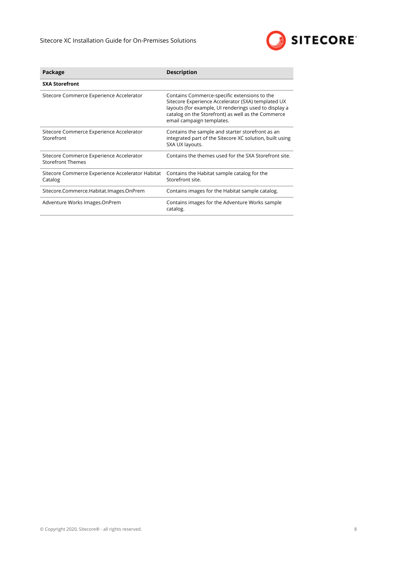

| Package                                                       | <b>Description</b>                                                                                                                                                                                                                             |
|---------------------------------------------------------------|------------------------------------------------------------------------------------------------------------------------------------------------------------------------------------------------------------------------------------------------|
| <b>SXA Storefront</b>                                         |                                                                                                                                                                                                                                                |
| Sitecore Commerce Experience Accelerator                      | Contains Commerce-specific extensions to the<br>Sitecore Experience Accelerator (SXA) templated UX<br>layouts (for example, UI renderings used to display a<br>catalog on the Storefront) as well as the Commerce<br>email campaign templates. |
| Sitecore Commerce Experience Accelerator<br>Storefront        | Contains the sample and starter storefront as an<br>integrated part of the Sitecore XC solution, built using<br>SXA UX layouts.                                                                                                                |
| Sitecore Commerce Experience Accelerator<br>Storefront Themes | Contains the themes used for the SXA Storefront site.                                                                                                                                                                                          |
| Sitecore Commerce Experience Accelerator Habitat<br>Catalog   | Contains the Habitat sample catalog for the<br>Storefront site.                                                                                                                                                                                |
| Sitecore.Commerce.Habitat.Images.OnPrem                       | Contains images for the Habitat sample catalog.                                                                                                                                                                                                |
| Adventure Works Images.OnPrem                                 | Contains images for the Adventure Works sample<br>catalog.                                                                                                                                                                                     |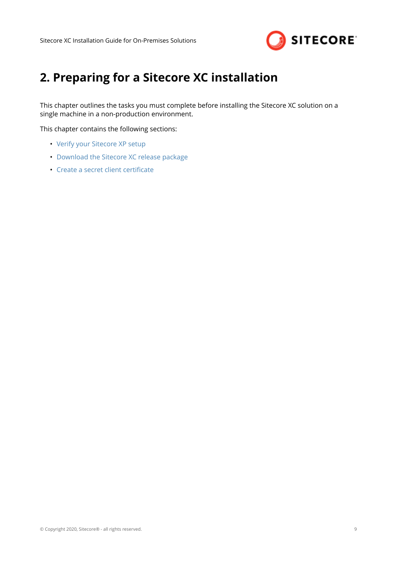

# <span id="page-8-0"></span>**2. Preparing for a Sitecore XC installation**

This chapter outlines the tasks you must complete before installing the Sitecore XC solution on a single machine in a non-production environment.

This chapter contains the following sections:

- [Verify your Sitecore XP setup](#page-9-0)
- [Download the Sitecore XC release package](#page-10-0)
- Create a secret client certificate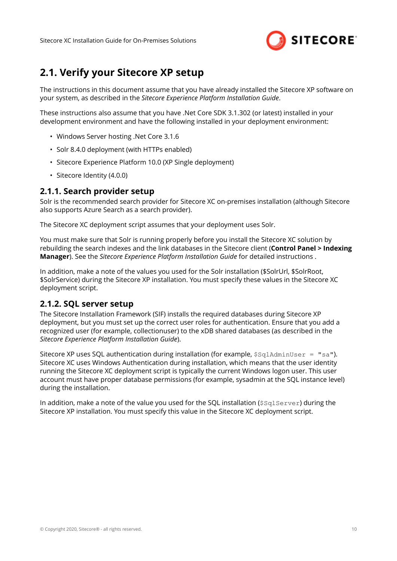

### <span id="page-9-0"></span>**2.1. Verify your Sitecore XP setup**

The instructions in this document assume that you have already installed the Sitecore XP software on your system, as described in the *Sitecore Experience Platform Installation Guide*.

These instructions also assume that you have .Net Core SDK 3.1.302 (or latest) installed in your development environment and have the following installed in your deployment environment:

- Windows Server hosting .Net Core 3.1.6
- Solr 8.4.0 deployment (with HTTPs enabled)
- Sitecore Experience Platform 10.0 (XP Single deployment)
- Sitecore Identity (4.0.0)

### **2.1.1. Search provider setup**

Solr is the recommended search provider for Sitecore XC on-premises installation (although Sitecore also supports Azure Search as a search provider).

The Sitecore XC deployment script assumes that your deployment uses Solr.

You must make sure that Solr is running properly before you install the Sitecore XC solution by rebuilding the search indexes and the link databases in the Sitecore client (**Control Panel > Indexing Manager**). See the *Sitecore Experience Platform Installation Guide* for detailed instructions .

In addition, make a note of the values you used for the Solr installation (\$SolrUrl, \$SolrRoot, \$SolrService) during the Sitecore XP installation. You must specify these values in the Sitecore XC deployment script.

### **2.1.2. SQL server setup**

The Sitecore Installation Framework (SIF) installs the required databases during Sitecore XP deployment, but you must set up the correct user roles for authentication. Ensure that you add a recognized user (for example, collectionuser) to the xDB shared databases (as described in the *Sitecore Experience Platform Installation Guide*).

Sitecore XP uses SOL authentication during installation (for example,  $$sglAdminUser = "sa"$ ). Sitecore XC uses Windows Authentication during installation, which means that the user identity running the Sitecore XC deployment script is typically the current Windows logon user. This user account must have proper database permissions (for example, sysadmin at the SQL instance level) during the installation.

In addition, make a note of the value you used for the SQL installation (\$SqlServer) during the Sitecore XP installation. You must specify this value in the Sitecore XC deployment script.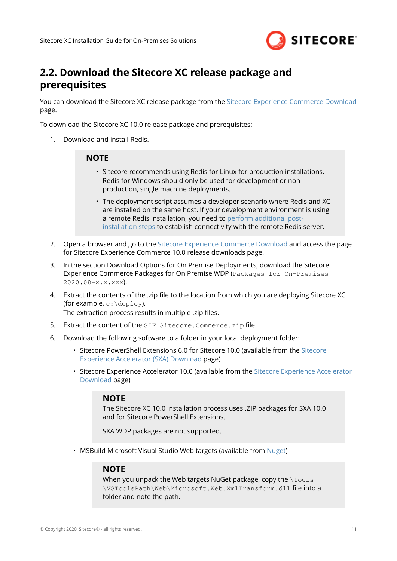

### <span id="page-10-0"></span>**2.2. Download the Sitecore XC release package and prerequisites**

You can download the Sitecore XC release package from the [Sitecore Experience Commerce Download](https://dev.sitecore.net/Downloads/Sitecore_Commerce/100/Sitecore_Experience_Commerce_100.aspx) page.

To download the Sitecore XC 10.0 release package and prerequisites:

1. Download and install Redis.

#### **NOTE**

- Sitecore recommends using Redis for Linux for production installations. Redis for Windows should only be used for development or nonproduction, single machine deployments.
- The deployment script assumes a developer scenario where Redis and XC are installed on the same host. If your development environment is using a remote Redis installation, you need to [perform additional post](#page-20-0)[installation steps](#page-20-0) to establish connectivity with the remote Redis server.
- 2. Open a browser and go to the [Sitecore Experience Commerce Download](https://dev.sitecore.net/Downloads/Sitecore_Commerce/100/Sitecore_Experience_Commerce_100.aspx) and access the page for Sitecore Experience Commerce 10.0 release downloads page.
- 3. In the section Download Options for On Premise Deployments, download the Sitecore Experience Commerce Packages for On Premise WDP (Packages for On-Premises  $2020.08-x.x.xxx$ ).
- 4. Extract the contents of the .zip file to the location from which you are deploying Sitecore XC (for example,  $c: \text{depth}$ ). The extraction process results in multiple .zip files.
- 5. Extract the content of the SIF.Sitecore.Commerce.zip file.
- 6. Download the following software to a folder in your local deployment folder:
	- Sitecore PowerShell Extensions 6.0 for Sitecore 10.0 (available from the [Sitecore](https://dev.sitecore.net/Downloads/Sitecore_Experience_Accelerator/10x/Sitecore_Experience_Accelerator_1000.aspx) [Experience Accelerator \(SXA\) Download](https://dev.sitecore.net/Downloads/Sitecore_Experience_Accelerator/10x/Sitecore_Experience_Accelerator_1000.aspx) page)
	- Sitecore Experience Accelerator 10.0 (available from the [Sitecore Experience Accelerator](https://dev.sitecore.net/Downloads/Sitecore_Experience_Accelerator/10x/Sitecore_Experience_Accelerator_1000.aspx) [Download](https://dev.sitecore.net/Downloads/Sitecore_Experience_Accelerator/10x/Sitecore_Experience_Accelerator_1000.aspx) page)

#### **NOTE**

The Sitecore XC 10.0 installation process uses .ZIP packages for SXA 10.0 and for Sitecore PowerShell Extensions.

SXA WDP packages are not supported.

• MSBuild Microsoft Visual Studio Web targets (available from [Nuget\)](https://www.nuget.org/packages/MSBuild.Microsoft.VisualStudio.Web.targets/)

#### **NOTE**

When you unpack the Web targets NuGet package, copy the \tools \VSToolsPath\Web\Microsoft.Web.XmlTransform.dll file into a folder and note the path.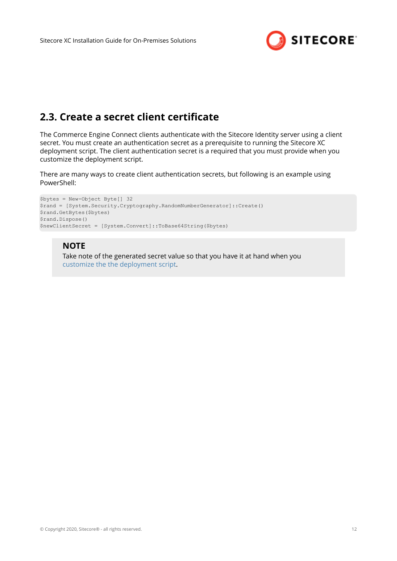

### <span id="page-11-0"></span>**2.3. Create a secret client certificate**

The Commerce Engine Connect clients authenticate with the Sitecore Identity server using a client secret. You must create an authentication secret as a prerequisite to running the Sitecore XC deployment script. The client authentication secret is a required that you must provide when you customize the deployment script.

There are many ways to create client authentication secrets, but following is an example using PowerShell:

```
$bytes = New-Object Byte[] 32
$rand = [System.Security.Cryptography.RandomNumberGenerator]::Create()
$rand.GetBytes($bytes)
$rand.Dispose()
$newClientSecret = [System.Convert]::ToBase64String($bytes)
```
### **NOTE**

Take note of the generated secret value so that you have it at hand when you [customize the the deployment script.](#page-13-0)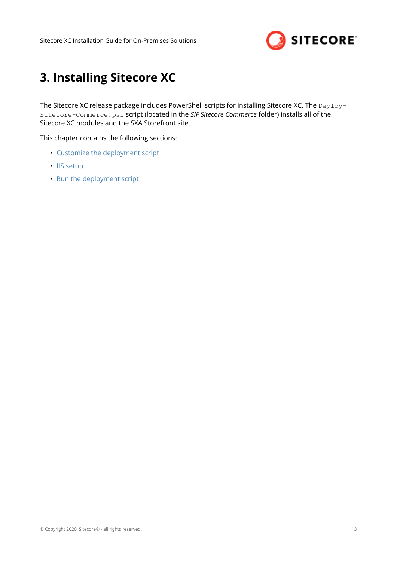

# <span id="page-12-0"></span>**3. Installing Sitecore XC**

The Sitecore XC release package includes PowerShell scripts for installing Sitecore XC. The Deploy-Sitecore-Commerce.ps1 script (located in the *SIF Sitecore Commerce* folder) installs all of the Sitecore XC modules and the SXA Storefront site.

This chapter contains the following sections:

- [Customize the deployment script](#page-13-0)
- [IIS setup](#page-14-0)
- [Run the deployment script](#page-15-0)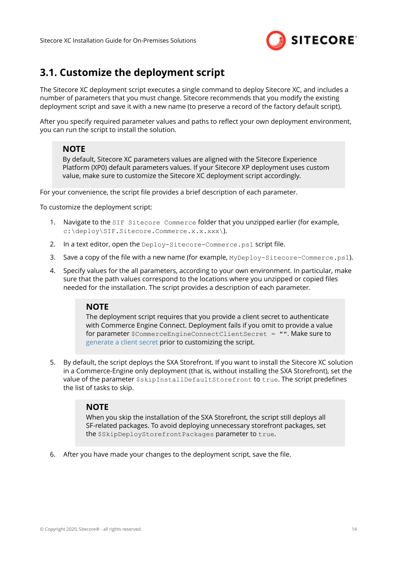

### <span id="page-13-0"></span>**3.1. Customize the deployment script**

The Sitecore XC deployment script executes a single command to deploy Sitecore XC, and includes a number of parameters that you must change. Sitecore recommends that you modify the existing deployment script and save it with a new name (to preserve a record of the factory default script).

After you specify required parameter values and paths to reflect your own deployment environment, you can run the script to install the solution.

### **NOTE**

By default, Sitecore XC parameters values are aligned with the Sitecore Experience Platform (XP0) default parameters values. If your Sitecore XP deployment uses custom value, make sure to customize the Sitecore XC deployment script accordingly.

For your convenience, the script file provides a brief description of each parameter.

To customize the deployment script:

- 1. Navigate to the SIF Sitecore Commerce folder that you unzipped earlier (for example, c:\deploy\SIF.Sitecore.Commerce.x.x.xxx\).
- 2. In a text editor, open the Deploy-Sitecore-Commerce.ps1 script file.
- 3. Save a copy of the file with a new name (for example, MyDeploy-Sitecore-Commerce.ps1).
- 4. Specify values for the all parameters, according to your own environment. In particular, make sure that the path values correspond to the locations where you unzipped or copied files needed for the installation. The script provides a description of each parameter.

### **NOTE**

The deployment script requires that you provide a client secret to authenticate with Commerce Engine Connect. Deployment fails if you omit to provide a value for parameter \$CommerceEngineConnectClientSecret = "". Make sure to [generate a client secret](#page-11-0) prior to customizing the script.

5. By default, the script deploys the SXA Storefront. If you want to install the Sitecore XC solution in a Commerce-Engine only deployment (that is, without installing the SXA Storefront), set the value of the parameter  $$skip$  Initum tailDefaultStorefront to true. The script predefines the list of tasks to skip.

#### **NOTE**

When you skip the installation of the SXA Storefront, the script still deploys all SF-related packages. To avoid deploying unnecessary storefront packages, set the \$SkipDeployStorefrontPackages parameter to true.

6. After you have made your changes to the deployment script, save the file.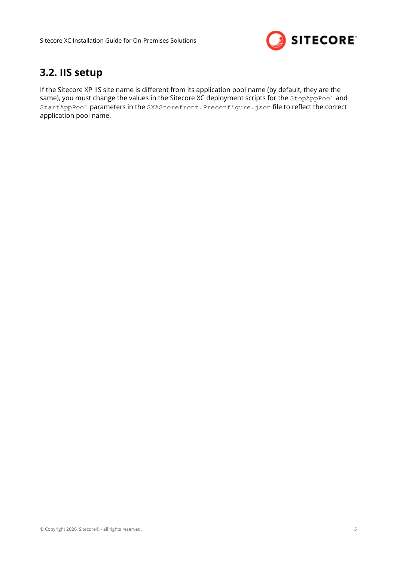

### <span id="page-14-0"></span>**3.2. IIS setup**

If the Sitecore XP IIS site name is different from its application pool name (by default, they are the same), you must change the values in the Sitecore XC deployment scripts for the StopAppPool and StartAppPool parameters in the SXAStorefront.Preconfigure.json file to reflect the correct application pool name.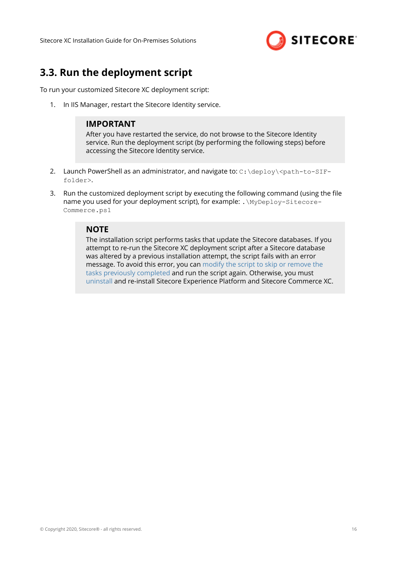

### <span id="page-15-0"></span>**3.3. Run the deployment script**

To run your customized Sitecore XC deployment script:

1. In IIS Manager, restart the Sitecore Identity service.

### **IMPORTANT**

After you have restarted the service, do not browse to the Sitecore Identity service. Run the deployment script (by performing the following steps) before accessing the Sitecore Identity service.

- 2. Launch PowerShell as an administrator, and navigate to: C: \deploy\<path-to-SIFfolder>.
- 3. Run the customized deployment script by executing the following command (using the file name you used for your deployment script), for example: .\MyDeploy-Sitecore-Commerce.ps1

#### **NOTE**

The installation script performs tasks that update the Sitecore databases. If you attempt to re-run the Sitecore XC deployment script after a Sitecore database was altered by a previous installation attempt, the script fails with an error message. To avoid this error, you can [modify the script to skip or remove the](#page-29-0) [tasks previously completed](#page-29-0) and run the script again. Otherwise, you must [uninstall](#page-22-0) and re-install Sitecore Experience Platform and Sitecore Commerce XC.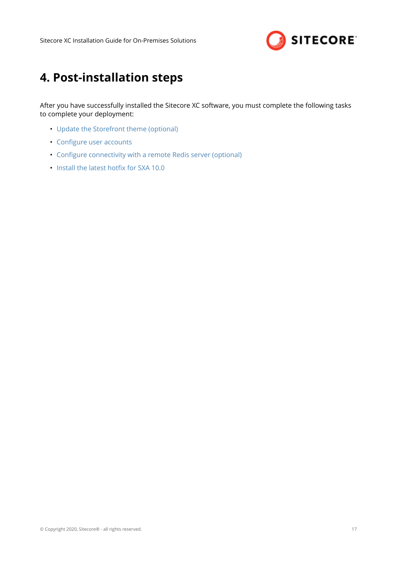

# <span id="page-16-0"></span>**4. Post-installation steps**

After you have successfully installed the Sitecore XC software, you must complete the following tasks to complete your deployment:

- [Update the Storefront theme \(optional\)](#page-17-0)
- Configure user accounts
- Configure connectivity with a remote Redis server (optional)
- Install the latest hotfix for SXA 10.0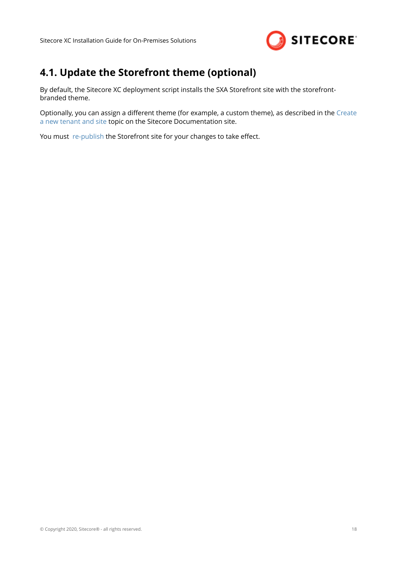

# <span id="page-17-0"></span>**4.1. Update the Storefront theme (optional)**

By default, the Sitecore XC deployment script installs the SXA Storefront site with the storefrontbranded theme.

Optionally, you can assign a different theme (for example, a custom theme), as described in the [Create](https://doc.sitecore.com/100/sitecore-experience-commerce/en/create-a-commerce-tenant-and-site.html) [a new tenant and site](https://doc.sitecore.com/100/sitecore-experience-commerce/en/create-a-commerce-tenant-and-site.html) topic on the Sitecore Documentation site.

You must [re-publish](https://doc.sitecore.com/users/100/sitecore-experience-platform/en/publish-a-website.html) the Storefront site for your changes to take effect.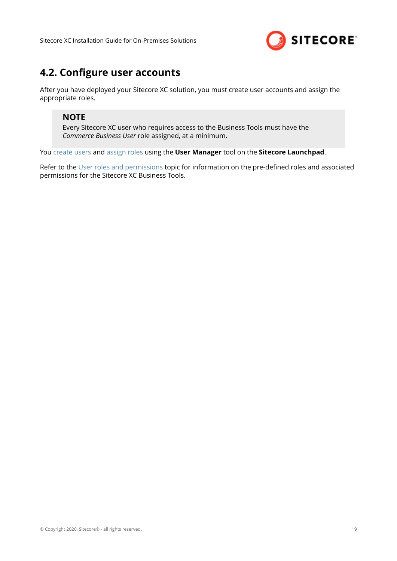

### <span id="page-18-0"></span>**4.2. Configure user accounts**

After you have deployed your Sitecore XC solution, you must create user accounts and assign the appropriate roles.

### **NOTE**

Every Sitecore XC user who requires access to the Business Tools must have the *Commerce Business User* role assigned, at a minimum.

You [create users](https://doc.sitecore.com/developers/100/platform-administration-and-architecture/en/create-a-user.html) and [assign roles](https://doc.sitecore.com/developers/100/platform-administration-and-architecture/en/add-a-user-to-a-role.html) using the **User Manager** tool on the **Sitecore Launchpad**.

Refer to the [User roles and permissions](https://doc.sitecore.com/developers/100/sitecore-experience-commerce/en/user-roles-and-permissions.html) topic for information on the pre-defined roles and associated permissions for the Sitecore XC Business Tools.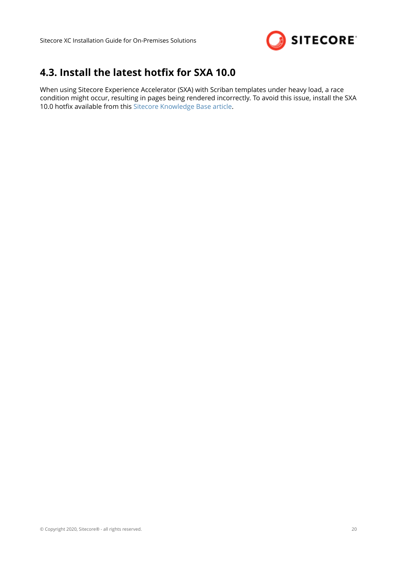

### <span id="page-19-0"></span>**4.3. Install the latest hotfix for SXA 10.0**

When using Sitecore Experience Accelerator (SXA) with Scriban templates under heavy load, a race condition might occur, resulting in pages being rendered incorrectly. To avoid this issue, install the SXA 10.0 hotfix available from this [Sitecore Knowledge Base article.](https://kb.sitecore.net/articles/285179)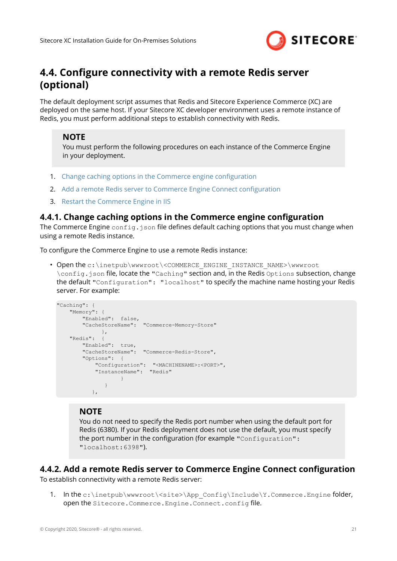

### <span id="page-20-0"></span>**4.4. Configure connectivity with a remote Redis server (optional)**

The default deployment script assumes that Redis and Sitecore Experience Commerce (XC) are deployed on the same host. If your Sitecore XC developer environment uses a remote instance of Redis, you must perform additional steps to establish connectivity with Redis.

### **NOTE**

You must perform the following procedures on each instance of the Commerce Engine in your deployment.

- 1. Change caching options in the Commerce engine configuration
- 2. Add a remote Redis server to Commerce Engine Connect configuration
- 3. [Restart the Commerce Engine in IIS](#page-21-0)

### **4.4.1. Change caching options in the Commerce engine configuration**

The Commerce Engine config.json file defines default caching options that you must change when using a remote Redis instance.

To configure the Commerce Engine to use a remote Redis instance:

• Open the c:\inetpub\wwwroot\<COMMERCE\_ENGINE\_INSTANCE\_NAME>\wwwroot \config.json file, locate the "Caching" section and, in the Redis Options subsection, change the default "Configuration": "localhost" to specify the machine name hosting your Redis server. For example:

```
"Caching": {
     "Memory": {
 "Enabled": false,
 "CacheStoreName": "Commerce-Memory-Store"
                },
     "Redis": {
          "Enabled": true,
          "CacheStoreName": "Commerce-Redis-Store",
          "Options": {
               "Configuration": "<MACHINENAME>:<PORT>",
               "InstanceName": "Redis"
denotes the contract of the contract of the second property of the contract of the contract of the contract of
 } 
              },
```
### **NOTE**

You do not need to specify the Redis port number when using the default port for Redis (6380). If your Redis deployment does not use the default, you must specify the port number in the configuration (for example "Configuration": "localhost:6398").

### **4.4.2. Add a remote Redis server to Commerce Engine Connect configuration**

To establish connectivity with a remote Redis server:

1. In the c:\inetpub\wwwroot\<site>\App\_Config\Include\Y.Commerce.Engine folder, open the Sitecore.Commerce.Engine.Connect.config file.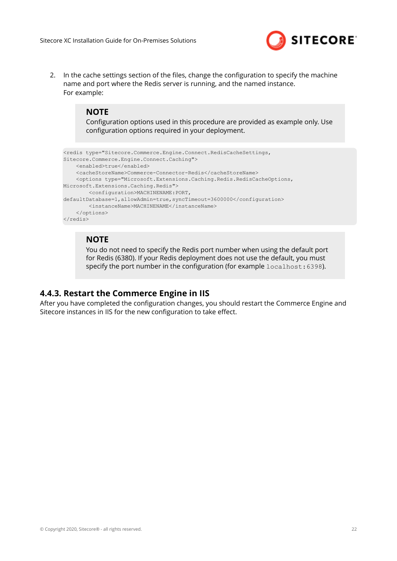

<span id="page-21-0"></span>2. In the cache settings section of the files, change the configuration to specify the machine name and port where the Redis server is running, and the named instance. For example:

#### **NOTE**

Configuration options used in this procedure are provided as example only. Use configuration options required in your deployment.

```
<redis type="Sitecore.Commerce.Engine.Connect.RedisCacheSettings, 
Sitecore.Commerce.Engine.Connect.Caching">
     <enabled>true</enabled>
     <cacheStoreName>Commerce-Connector-Redis</cacheStoreName>
     <options type="Microsoft.Extensions.Caching.Redis.RedisCacheOptions, 
Microsoft.Extensions.Caching.Redis">
        <configuration>MACHINENAME:PORT, 
defaultDatabase=1,allowAdmin=true,syncTimeout=3600000</configuration>
        <instanceName>MACHINENAME</instanceName>
     </options>
</redis>
```
#### **NOTE**

You do not need to specify the Redis port number when using the default port for Redis (6380). If your Redis deployment does not use the default, you must specify the port number in the configuration (for example  $1$  ocalhost: 6398).

### **4.4.3. Restart the Commerce Engine in IIS**

After you have completed the configuration changes, you should restart the Commerce Engine and Sitecore instances in IIS for the new configuration to take effect.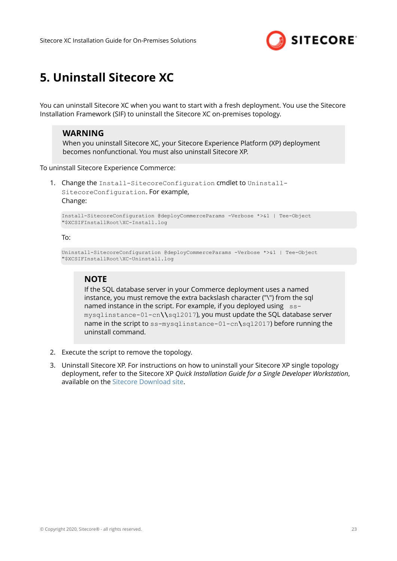

# <span id="page-22-0"></span>**5. Uninstall Sitecore XC**

You can uninstall Sitecore XC when you want to start with a fresh deployment. You use the Sitecore Installation Framework (SIF) to uninstall the Sitecore XC on-premises topology.

#### **WARNING**

When you uninstall Sitecore XC, your Sitecore Experience Platform (XP) deployment becomes nonfunctional. You must also uninstall Sitecore XP.

To uninstall Sitecore Experience Commerce:

1. Change the Install-SitecoreConfiguration cmdlet to Uninstall-SitecoreConfiguration. For example, Change:

Install-SitecoreConfiguration @deployCommerceParams -Verbose \*>&1 | Tee-Object "\$XCSIFInstallRoot\XC-Install.log

#### To:

Uninstall-SitecoreConfiguration @deployCommerceParams -Verbose \*>&1 | Tee-Object "\$XCSIFInstallRoot\XC-Uninstall.log

#### **NOTE**

If the SQL database server in your Commerce deployment uses a named instance, you must remove the extra backslash character ("\") from the sql named instance in the script. For example, if you deployed using  $ss$ mysqlinstance-01-cn**\\**sql2017), you must update the SQL database server name in the script to ss-mysqlinstance-01-cn**\**sql2017) before running the uninstall command.

- 2. Execute the script to remove the topology.
- 3. Uninstall Sitecore XP. For instructions on how to uninstall your Sitecore XP single topology deployment, refer to the Sitecore XP *Quick Installation Guide for a Single Developer Workstation*, available on the [Sitecore Download site](https://dev.sitecore.net/Downloads/Sitecore_Experience_Platform/100/Sitecore_Experience_Platform_100.aspx).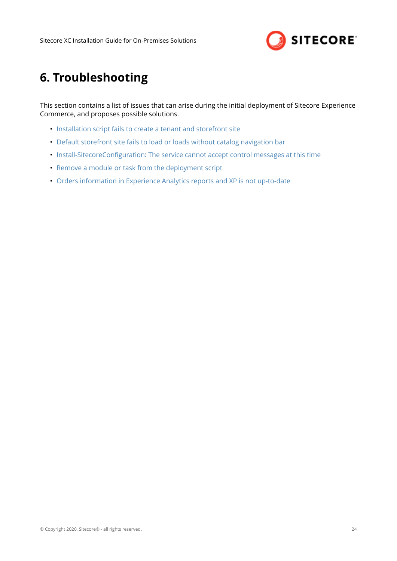

# <span id="page-23-0"></span>**6. Troubleshooting**

This section contains a list of issues that can arise during the initial deployment of Sitecore Experience Commerce, and proposes possible solutions.

- [Installation script fails to create a tenant and storefront site](#page-24-0)
- [Default storefront site fails to load or loads without catalog navigation bar](#page-25-0)
- Install-SitecoreConfiguration: The service cannot accept control messages at this time
- [Remove a module or task from the deployment script](#page-29-0)
- [Orders information in Experience Analytics reports and XP is not up-to-date](#page-31-0)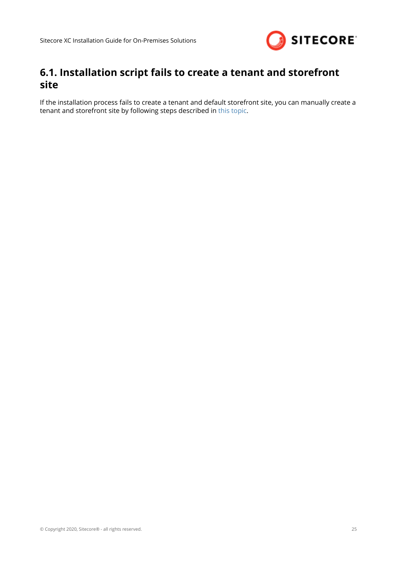

### <span id="page-24-0"></span>**6.1. Installation script fails to create a tenant and storefront site**

If the installation process fails to create a tenant and default storefront site, you can manually create a tenant and storefront site by following steps described in [this topic.](https://doc.sitecore.com/developers/100/sitecore-experience-commerce/en/create-a-commerce-tenant-and-site.html)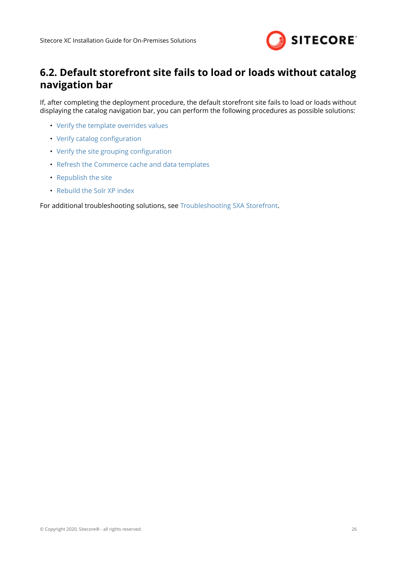

## <span id="page-25-0"></span>**6.2. Default storefront site fails to load or loads without catalog navigation bar**

If, after completing the deployment procedure, the default storefront site fails to load or loads without displaying the catalog navigation bar, you can perform the following procedures as possible solutions:

- [Verify the template overrides values](#page-26-0)
- Verify catalog configuration
- Verify the site grouping configuration
- [Refresh the Commerce cache and data templates](#page-27-0)
- Republish the site
- [Rebuild the Solr XP index](#page-27-0)

For additional troubleshooting solutions, see [Troubleshooting SXA Storefront.](https://doc.sitecore.com/developers/100/sitecore-experience-commerce/en/troubleshooting-sxa-storefront.html)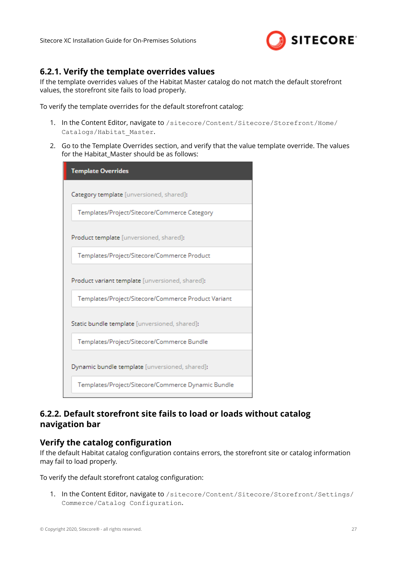

### <span id="page-26-0"></span>**6.2.1. Verify the template overrides values**

If the template overrides values of the Habitat Master catalog do not match the default storefront values, the storefront site fails to load properly.

To verify the template overrides for the default storefront catalog:

- 1. In the Content Editor, navigate to /sitecore/Content/Sitecore/Storefront/Home/ Catalogs/Habitat\_Master.
- 2. Go to the Template Overrides section, and verify that the value template override. The values for the Habitat Master should be as follows:

| <b>Template Overrides</b>                           |
|-----------------------------------------------------|
| Category template [unversioned, shared]:            |
| Templates/Project/Sitecore/Commerce Category        |
| Product template [unversioned, shared]:             |
| Templates/Project/Sitecore/Commerce Product         |
| Product variant template [unversioned, shared]:     |
| Templates/Project/Sitecore/Commerce Product Variant |
| Static bundle template [unversioned, shared]:       |
| Templates/Project/Sitecore/Commerce Bundle          |
| Dynamic bundle template [unversioned, shared]:      |
| Templates/Project/Sitecore/Commerce Dynamic Bundle  |

### **6.2.2. Default storefront site fails to load or loads without catalog navigation bar**

### **Verify the catalog configuration**

If the default Habitat catalog configuration contains errors, the storefront site or catalog information may fail to load properly.

To verify the default storefront catalog configuration:

1. In the Content Editor, navigate to /sitecore/Content/Sitecore/Storefront/Settings/ Commerce/Catalog Configuration.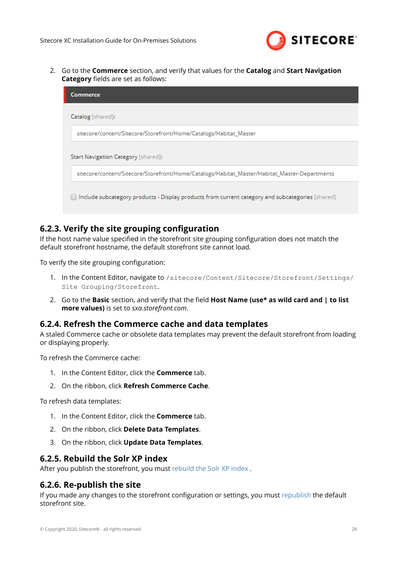

<span id="page-27-0"></span>2. Go to the **Commerce** section, and verify that values for the **Catalog** and **Start Navigation Category** fields are set as follows:

| Commerce                                                                                         |
|--------------------------------------------------------------------------------------------------|
| Catalog [shared]:                                                                                |
| sitecore/content/Sitecore/Storefront/Home/Catalogs/Habitat_Master                                |
| Start Navigation Category [shared]:                                                              |
| sitecore/content/Sitecore/Storefront/Home/Catalogs/Habitat_Master/Habitat_Master-Departments     |
| Include subcategory products - Display products from current category and subcategories [shared] |

### **6.2.3. Verify the site grouping configuration**

If the host name value specified in the storefront site grouping configuration does not match the default storefront hostname, the default storefront site cannot load.

To verify the site grouping configuration:

- 1. In the Content Editor, navigate to /sitecore/Content/Sitecore/Storefront/Settings/ Site Grouping/Storefront.
- 2. Go to the **Basic** section, and verify that the field **Host Name (use\* as wild card and | to list more values)** is set to *sxa.storefront.com*.

#### **6.2.4. Refresh the Commerce cache and data templates**

A staled Commerce cache or obsolete data templates may prevent the default storefront from loading or displaying properly.

To refresh the Commerce cache:

- 1. In the Content Editor, click the **Commerce** tab.
- 2. On the ribbon, click **Refresh Commerce Cache**.

To refresh data templates:

- 1. In the Content Editor, click the **Commerce** tab.
- 2. On the ribbon, click **Delete Data Templates**.
- 3. On the ribbon, click **Update Data Templates**.

#### **6.2.5. Rebuild the Solr XP index**

After you publish the storefront, you must [rebuild the Solr XP index .](https://doc.sitecore.com/developers/100/sitecore-experience-commerce/en/manually-rebuild-sitecore-xp-indexes.html)

### **6.2.6. Re-publish the site**

If you made any changes to the storefront configuration or settings, you must [republish](https://doc.sitecore.com/users/100/sitecore-experience-platform/en/publish-a-website.html) the default storefront site.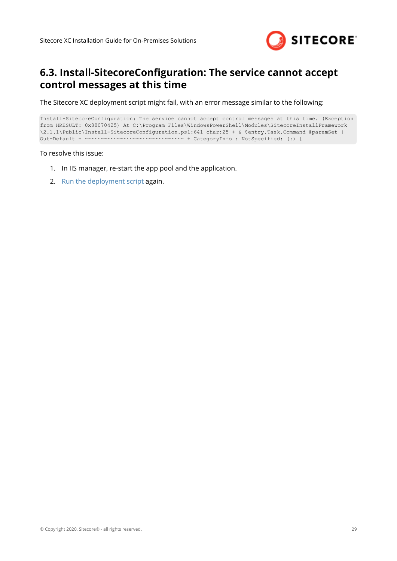

### <span id="page-28-0"></span>6.3. Install-SitecoreConfiguration: The service cannot accept **control messages at this time**

The Sitecore XC deployment script might fail, with an error message similar to the following:

```
Install-SitecoreConfiguration: The service cannot accept control messages at this time. (Exception 
from HRESULT: 0x80070425) At C:\Program Files\WindowsPowerShell\Modules\SitecoreInstallFramework
\2.1.1\Public\Install-SitecoreConfiguration.ps1:641 char:25 + & $entry.Task.Command @paramSet | 
Out-Default + ~~~~~~~~~~~~~~~~~~~~~~~~~~~~~~~ + CategoryInfo : NotSpecified: (:) [
```
To resolve this issue:

- 1. In IIS manager, re-start the app pool and the application.
- 2. [Run the deployment script](#page-15-0) again.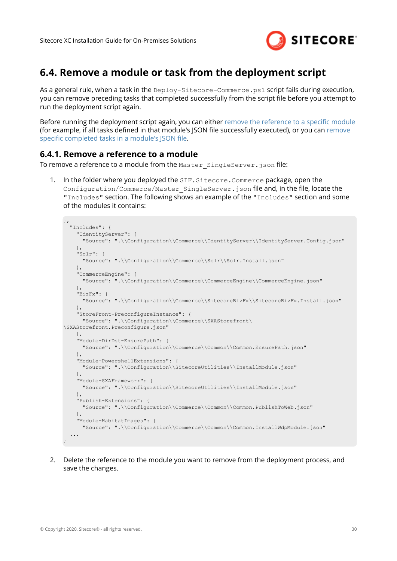

### <span id="page-29-0"></span>**6.4. Remove a module or task from the deployment script**

As a general rule, when a task in the Deploy-Sitecore-Commerce.ps1 script fails during execution, you can remove preceding tasks that completed successfully from the script file before you attempt to run the deployment script again.

Before running the deployment script again, you can either remove the reference to a specific module (for example, if all tasks defined in that module's JSON file successfully executed), or you can [remove](#page-30-0) [specific completed tasks in a module's JSON file](#page-30-0).

### **6.4.1. Remove a reference to a module**

To remove a reference to a module from the Master SingleServer.json file:

1. In the folder where you deployed the SIF. Sitecore. Commerce package, open the Configuration/Commerce/Master\_SingleServer.json file and, in the file, locate the "Includes" section. The following shows an example of the "Includes" section and some of the modules it contains:

```
},
   "Includes": {
     "IdentityServer": {
       "Source": ".\\Configuration\\Commerce\\IdentityServer\\IdentityServer.Config.json"
    },
     "Solr": {
      "Source": ".\\Configuration\\Commerce\\Solr\\Solr.Install.json"
\vert \vert,
     "CommerceEngine": {
       "Source": ".\\Configuration\\Commerce\\CommerceEngine\\CommerceEngine.json"
     },
     "BizFx": {
       "Source": ".\\Configuration\\Commerce\\SitecoreBizFx\\SitecoreBizFx.Install.json"
     },
     "StoreFront-PreconfigureInstance": {
       "Source": ".\\Configuration\\Commerce\\SXAStorefront\
\SXAStorefront.Preconfigure.json"
    },
     "Module-DirDst-EnsurePath": {
       "Source": ".\\Configuration\\Commerce\\Common\\Common.EnsurePath.json"
     },
     "Module-PowershellExtensions": {
       "Source": ".\\Configuration\\SitecoreUtilities\\InstallModule.json"
     },
     "Module-SXAFramework": {
       "Source": ".\\Configuration\\SitecoreUtilities\\InstallModule.json"
     },
     "Publish-Extensions": {
       "Source": ".\\Configuration\\Commerce\\Common\\Common.PublishToWeb.json"
    },
     "Module-HabitatImages": {
       "Source": ".\\Configuration\\Commerce\\Common\\Common.InstallWdpModule.json"
   ...
}
```
2. Delete the reference to the module you want to remove from the deployment process, and save the changes.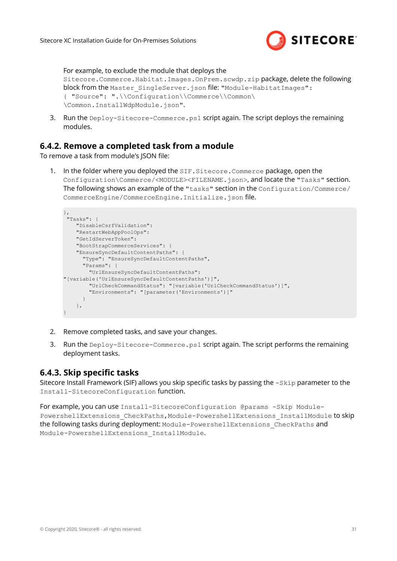

<span id="page-30-0"></span>For example, to exclude the module that deploys the Sitecore.Commerce.Habitat.Images.OnPrem.scwdp.zip package, delete the following block from the Master SingleServer.json file: "Module-HabitatImages": { "Source": ".\\Configuration\\Commerce\\Common\ \Common.InstallWdpModule.json".

3. Run the Deploy-Sitecore-Commerce.ps1 script again. The script deploys the remaining modules.

### **6.4.2. Remove a completed task from a module**

To remove a task from module's JSON file

1. In the folder where you deployed the SIF.Sitecore.Commerce package, open the Configuration\Commerce/<MODULE><FILENAME.json>, and locate the "Tasks" section. The following shows an example of the "tasks" section in the Configuration/Commerce/ CommerceEngine/CommerceEngine.Initialize.json file.

```
},
 "Tasks": {
    "DisableCsrfValidation": 
     "RestartWebAppPoolOps": 
     "GetIdServerToken":
     "BootStrapCommerceServices": {
    "EnsureSyncDefaultContentPaths": {
       "Type": "EnsureSyncDefaultContentPaths",
       "Params": {
        "UrlEnsureSyncDefaultContentPaths": 
"[variable('UrlEnsureSyncDefaultContentPaths')]",
         "UrlCheckCommandStatus": "[variable('UrlCheckCommandStatus')]",
         "Environments": "[parameter('Environments')]"
      }
    },
}
```
- 2. Remove completed tasks, and save your changes.
- 3. Run the Deploy-Sitecore-Commerce.ps1 script again. The script performs the remaining deployment tasks.

### **6.4.3. Skip specific tasks**

Sitecore Install Framework (SIF) allows you skip specific tasks by passing the -Skip parameter to the Install-SitecoreConfiguration function.

For example, you can use Install-SitecoreConfiguration @params -Skip Module-PowershellExtensions CheckPaths,Module-PowershellExtensions InstallModule to skip the following tasks during deployment: Module-PowershellExtensions\_CheckPaths and Module-PowershellExtensions\_InstallModule.